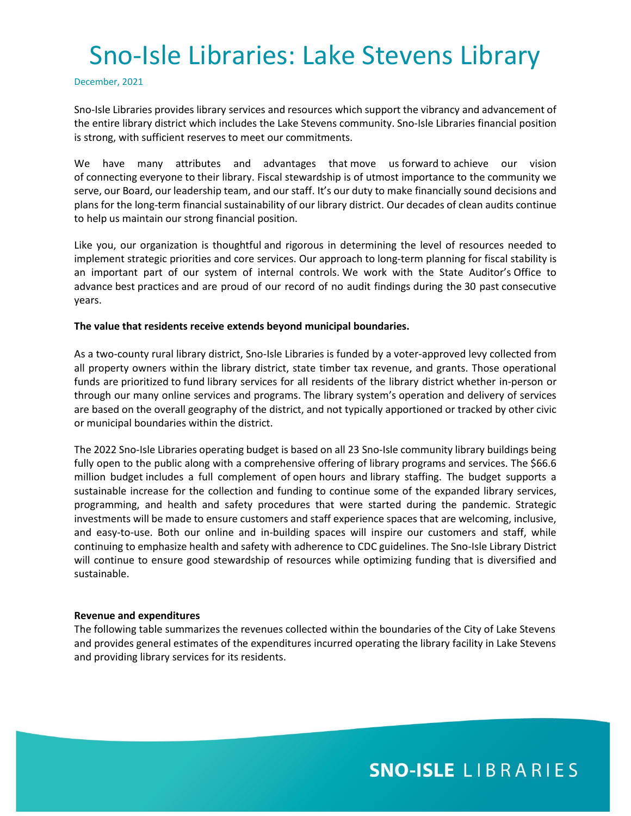December, 2021

Sno-Isle Libraries provides library services and resources which support the vibrancy and advancement of the entire library district which includes the Lake Stevens community. Sno-Isle Libraries financial position is strong, with sufficient reserves to meet our commitments.

We have many attributes and advantages that move us forward to achieve our vision of connecting everyone to their library. Fiscal stewardship is of utmost importance to the community we serve, our Board, our leadership team, and our staff. It's our duty to make financially sound decisions and plans for the long-term financial sustainability of our library district. Our decades of clean audits continue to help us maintain our strong financial position.

Like you, our organization is thoughtful and rigorous in determining the level of resources needed to implement strategic priorities and core services. Our approach to long-term planning for fiscal stability is an important part of our system of internal controls. We work with the State Auditor's Office to advance best practices and are proud of our record of no audit findings during the 30 past consecutive years.

### **The value that residents receive extends beyond municipal boundaries.**

As a two-county rural library district, Sno-Isle Libraries is funded by a voter-approved levy collected from all property owners within the library district, state timber tax revenue, and grants. Those operational funds are prioritized to fund library services for all residents of the library district whether in-person or through our many online services and programs. The library system's operation and delivery of services are based on the overall geography of the district, and not typically apportioned or tracked by other civic or municipal boundaries within the district.

The 2022 Sno-Isle Libraries operating budget is based on all 23 Sno-Isle community library buildings being fully open to the public along with a comprehensive offering of library programs and services. The \$66.6 million budget includes a full complement of open hours and library staffing. The budget supports a sustainable increase for the collection and funding to continue some of the expanded library services, programming, and health and safety procedures that were started during the pandemic. Strategic investments will be made to ensure customers and staff experience spaces that are welcoming, inclusive, and easy-to-use. Both our online and in-building spaces will inspire our customers and staff, while continuing to emphasize health and safety with adherence to CDC guidelines. The Sno-Isle Library District will continue to ensure good stewardship of resources while optimizing funding that is diversified and sustainable.

### **Revenue and expenditures**

The following table summarizes the revenues collected within the boundaries of the City of Lake Stevens and provides general estimates of the expenditures incurred operating the library facility in Lake Stevens and providing library services for its residents.

## **SNO-ISLE LIBRARIES**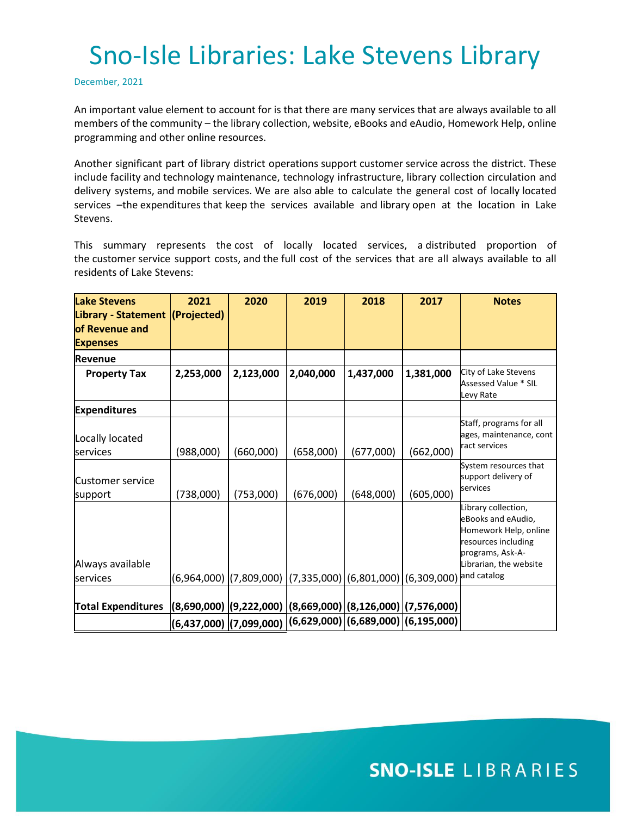December, 2021

An important value element to account for is that there are many services that are always available to all members of the community – the library collection, website, eBooks and eAudio, Homework Help, online programming and other online resources.

Another significant part of library district operations support customer service across the district. These include facility and technology maintenance, technology infrastructure, library collection circulation and delivery systems, and mobile services. We are also able to calculate the general cost of locally located services –the expenditures that keep the services available and library open at the location in Lake Stevens.

This summary represents the cost of locally located services, a distributed proportion of the customer service support costs, and the full cost of the services that are all always available to all residents of Lake Stevens:

| <b>Lake Stevens</b><br>Library - Statement (Projected)<br>of Revenue and<br><b>Expenses</b> | 2021                                                            | 2020                                                                                                          | 2019      | 2018      | 2017      | <b>Notes</b>                                                                                                                                           |
|---------------------------------------------------------------------------------------------|-----------------------------------------------------------------|---------------------------------------------------------------------------------------------------------------|-----------|-----------|-----------|--------------------------------------------------------------------------------------------------------------------------------------------------------|
| <b>Revenue</b>                                                                              |                                                                 |                                                                                                               |           |           |           |                                                                                                                                                        |
| <b>Property Tax</b>                                                                         | 2,253,000                                                       | 2,123,000                                                                                                     | 2,040,000 | 1,437,000 | 1,381,000 | City of Lake Stevens<br>Assessed Value * SIL<br>Levy Rate                                                                                              |
| <b>Expenditures</b>                                                                         |                                                                 |                                                                                                               |           |           |           |                                                                                                                                                        |
| Locally located<br>services                                                                 | (988,000)                                                       | (660,000)                                                                                                     | (658,000) | (677,000) | (662,000) | Staff, programs for all<br>ages, maintenance, cont<br>ract services                                                                                    |
| <b>Customer service</b><br>support                                                          | (738,000)                                                       | (753,000)                                                                                                     | (676,000) | (648,000) | (605,000) | System resources that<br>support delivery of<br>services                                                                                               |
| Always available<br>services                                                                |                                                                 | (6,964,000)  (7,809,000)  (7,335,000) (6,801,000) (6,309,000)                                                 |           |           |           | Library collection,<br>eBooks and eAudio,<br>Homework Help, online<br>resources including<br>programs, Ask-A-<br>Librarian, the website<br>and catalog |
|                                                                                             |                                                                 |                                                                                                               |           |           |           |                                                                                                                                                        |
| <b>Total Expenditures</b>                                                                   | $ (8,690,000) (9,222,000) (8,669,000) (8,126,000) (7,576,000) $ |                                                                                                               |           |           |           |                                                                                                                                                        |
|                                                                                             |                                                                 | $\left (6{,}437{,}000)\left (7{,}099{,}000)\left (6{,}629{,}000)\right (6{,}689{,}000)\right (6{,}195{,}000)$ |           |           |           |                                                                                                                                                        |

## **SNO-ISLE LIBRARIES**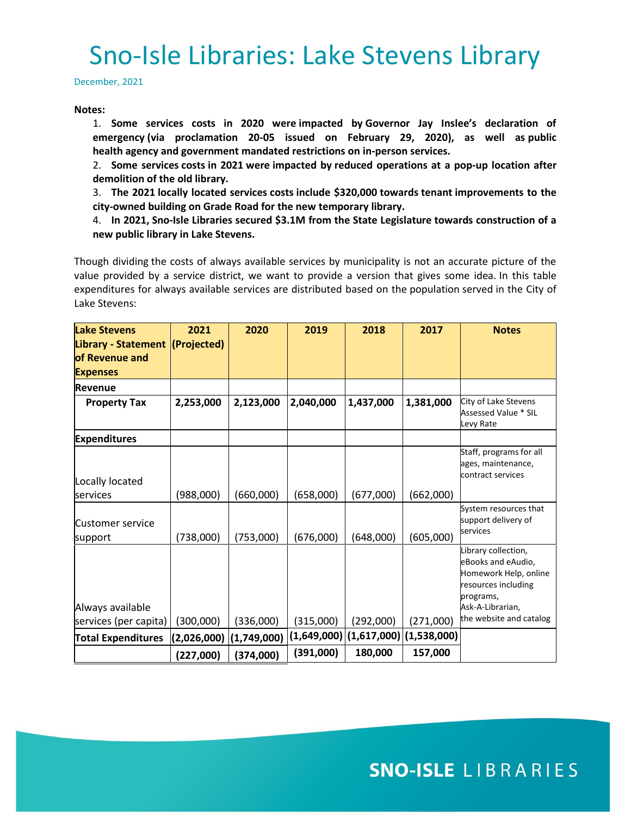December, 2021

#### **Notes:**

1. **Some services costs in 2020 were impacted by Governor Jay Inslee's declaration of emergency (via proclamation 20-05 issued on February 29, 2020), as well as public health agency and government mandated restrictions on in-person services.**

2. **Some services costs in 2021 were impacted by reduced operations at a pop-up location after demolition of the old library.**

3. **The 2021 locally located services costs include \$320,000 towards tenant improvements to the city-owned building on Grade Road for the new temporary library.**

4. **In 2021, Sno-Isle Libraries secured \$3.1M from the State Legislature towards construction of a new public library in Lake Stevens.**

Though dividing the costs of always available services by municipality is not an accurate picture of the value provided by a service district, we want to provide a version that gives some idea. In this table expenditures for always available services are distributed based on the population served in the City of Lake Stevens:

| <b>Lake Stevens</b><br>Library - Statement (Projected)<br>lof Revenue and | 2021        | 2020        | 2019      | 2018                                                   | 2017      | <b>Notes</b>                                                                                           |
|---------------------------------------------------------------------------|-------------|-------------|-----------|--------------------------------------------------------|-----------|--------------------------------------------------------------------------------------------------------|
| <b>Expenses</b>                                                           |             |             |           |                                                        |           |                                                                                                        |
| <b>Revenue</b>                                                            |             |             |           |                                                        |           |                                                                                                        |
| <b>Property Tax</b>                                                       | 2,253,000   | 2,123,000   | 2,040,000 | 1,437,000                                              | 1,381,000 | City of Lake Stevens<br>Assessed Value * SIL<br>Levy Rate                                              |
| <b>Expenditures</b>                                                       |             |             |           |                                                        |           |                                                                                                        |
|                                                                           |             |             |           |                                                        |           | Staff, programs for all<br>ages, maintenance,<br>contract services                                     |
| Locally located<br>lservices                                              | (988,000)   | (660,000)   | (658,000) | (677,000)                                              | (662,000) |                                                                                                        |
| Customer service                                                          |             |             |           |                                                        |           | System resources that<br>support delivery of<br>services                                               |
| support                                                                   | (738,000)   | (753,000)   | (676,000) | (648,000)                                              | (605,000) |                                                                                                        |
|                                                                           |             |             |           |                                                        |           | Library collection,<br>eBooks and eAudio,<br>Homework Help, online<br>resources including<br>programs, |
| Always available                                                          |             |             |           |                                                        |           | Ask-A-Librarian,<br>the website and catalog                                                            |
| services (per capita)                                                     | (300,000)   | (336,000)   | (315,000) | (292,000)<br>$(1,649,000)$ $(1,617,000)$ $(1,538,000)$ | (271,000) |                                                                                                        |
| <b>Total Expenditures</b>                                                 | (2,026,000) | (1,749,000) |           |                                                        |           |                                                                                                        |
|                                                                           | (227,000)   | (374,000)   | (391,000) | 180,000                                                | 157,000   |                                                                                                        |

### **SNO-ISLE LIBRARIES**